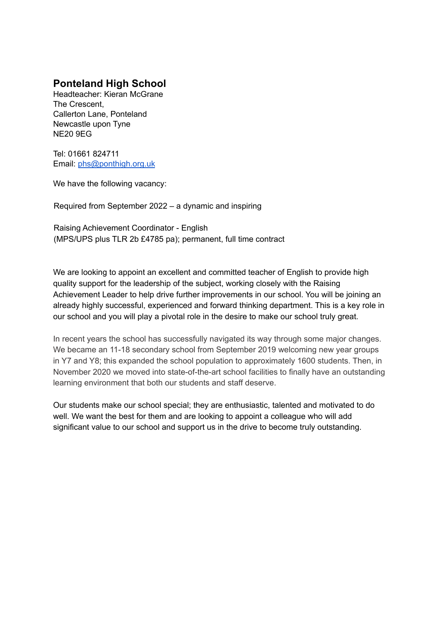## **Ponteland High School**

Headteacher: Kieran McGrane The Crescent, Callerton Lane, Ponteland Newcastle upon Tyne NE20 9EG

Tel: 01661 824711 Email: [phs@ponthigh.org.uk](mailto:phs@ponthigh.org.uk)

We have the following vacancy:

Required from September 2022 – a dynamic and inspiring

Raising Achievement Coordinator - English (MPS/UPS plus TLR 2b £4785 pa); permanent, full time contract

We are looking to appoint an excellent and committed teacher of English to provide high quality support for the leadership of the subject, working closely with the Raising Achievement Leader to help drive further improvements in our school. You will be joining an already highly successful, experienced and forward thinking department. This is a key role in our school and you will play a pivotal role in the desire to make our school truly great.

In recent years the school has successfully navigated its way through some major changes. We became an 11-18 secondary school from September 2019 welcoming new year groups in Y7 and Y8; this expanded the school population to approximately 1600 students. Then, in November 2020 we moved into state-of-the-art school facilities to finally have an outstanding learning environment that both our students and staff deserve.

Our students make our school special; they are enthusiastic, talented and motivated to do well. We want the best for them and are looking to appoint a colleague who will add significant value to our school and support us in the drive to become truly outstanding.